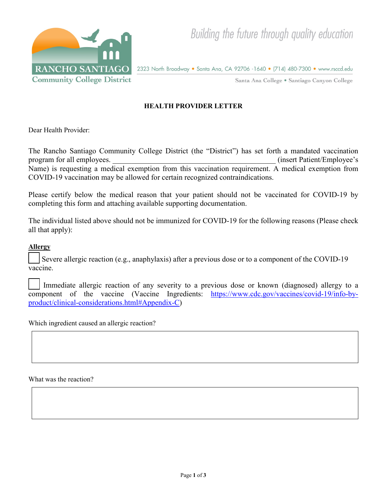

2323 North Broadway • Santa Ana, CA 92706 -1640 • (714) 480-7300 • www.rsccd.edu

Santa Ana College . Santiago Canyon College

## **HEALTH PROVIDER LETTER**

Dear Health Provider:

The Rancho Santiago Community College District (the "District") has set forth a mandated vaccination program for all employees.  $(insert \nP \n a \n in \n set \n P \n a \n if \n P \n a \n if \n P \n a \n if \n P \n a \n if \n P \n a \n if \n P \n a \n if \n P \n a \n if \n P \n a \n if \n P \n a \n if \n P \n a \n if \n P \n a \n if \n P \n a \n if \n P \n a \n if \n P \n a \n if \n P \n a \$ Name) is requesting a medical exemption from this vaccination requirement. A medical exemption from COVID-19 vaccination may be allowed for certain recognized contraindications.

Please certify below the medical reason that your patient should not be vaccinated for COVID-19 by completing this form and attaching available supporting documentation.

The individual listed above should not be immunized for COVID-19 for the following reasons (Please check all that apply):

## **Allergy**

Severe allergic reaction (e.g., anaphylaxis) after a previous dose or to a component of the COVID-19 vaccine.

Immediate allergic reaction of any severity to a previous dose or known (diagnosed) allergy to a component of the vaccine (Vaccine Ingredients: [https://www.cdc.gov/vaccines/covid-19/info-by](https://www.cdc.gov/vaccines/covid-19/info-by-product/clinical-considerations.html#Appendix-C)[product/clinical-considerations.html#Appendix-C\)](https://www.cdc.gov/vaccines/covid-19/info-by-product/clinical-considerations.html#Appendix-C)

Which ingredient caused an allergic reaction?

What was the reaction?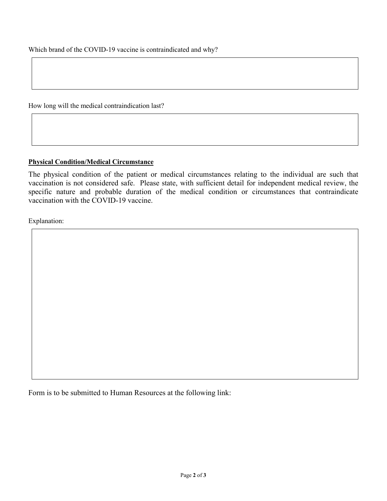How long will the medical contraindication last?

## **Physical Condition/Medical Circumstance**

The physical condition of the patient or medical circumstances relating to the individual are such that vaccination is not considered safe. Please state, with sufficient detail for independent medical review, the specific nature and probable duration of the medical condition or circumstances that contraindicate vaccination with the COVID-19 vaccine.

Explanation:

Form is to be submitted to Human Resources at the following link: